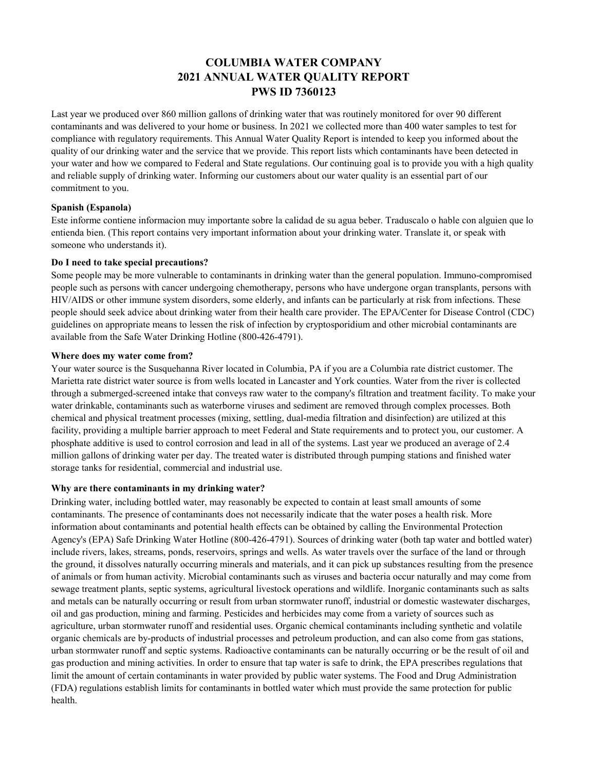# **COLUMBIA WATER COMPANY 2021 ANNUAL WATER QUALITY REPORT PWS ID 7360123**

Last year we produced over 860 million gallons of drinking water that was routinely monitored for over 90 different contaminants and was delivered to your home or business. In 2021 we collected more than 400 water samples to test for compliance with regulatory requirements. This Annual Water Quality Report is intended to keep you informed about the quality of our drinking water and the service that we provide. This report lists which contaminants have been detected in your water and how we compared to Federal and State regulations. Our continuing goal is to provide you with a high quality and reliable supply of drinking water. Informing our customers about our water quality is an essential part of our commitment to you.

# **Spanish (Espanola)**

Este informe contiene informacion muy importante sobre la calidad de su agua beber. Traduscalo o hable con alguien que lo entienda bien. (This report contains very important information about your drinking water. Translate it, or speak with someone who understands it).

# **Do I need to take special precautions?**

Some people may be more vulnerable to contaminants in drinking water than the general population. Immuno-compromised people such as persons with cancer undergoing chemotherapy, persons who have undergone organ transplants, persons with HIV/AIDS or other immune system disorders, some elderly, and infants can be particularly at risk from infections. These people should seek advice about drinking water from their health care provider. The EPA/Center for Disease Control (CDC) guidelines on appropriate means to lessen the risk of infection by cryptosporidium and other microbial contaminants are available from the Safe Water Drinking Hotline (800-426-4791).

#### **Where does my water come from?**

Your water source is the Susquehanna River located in Columbia, PA if you are a Columbia rate district customer. The Marietta rate district water source is from wells located in Lancaster and York counties. Water from the river is collected through a submerged-screened intake that conveys raw water to the company's filtration and treatment facility. To make your water drinkable, contaminants such as waterborne viruses and sediment are removed through complex processes. Both chemical and physical treatment processes (mixing, settling, dual-media filtration and disinfection) are utilized at this facility, providing a multiple barrier approach to meet Federal and State requirements and to protect you, our customer. A phosphate additive is used to control corrosion and lead in all of the systems. Last year we produced an average of 2.4 million gallons of drinking water per day. The treated water is distributed through pumping stations and finished water storage tanks for residential, commercial and industrial use.

# **Why are there contaminants in my drinking water?**

Drinking water, including bottled water, may reasonably be expected to contain at least small amounts of some contaminants. The presence of contaminants does not necessarily indicate that the water poses a health risk. More information about contaminants and potential health effects can be obtained by calling the Environmental Protection Agency's (EPA) Safe Drinking Water Hotline (800-426-4791). Sources of drinking water (both tap water and bottled water) include rivers, lakes, streams, ponds, reservoirs, springs and wells. As water travels over the surface of the land or through the ground, it dissolves naturally occurring minerals and materials, and it can pick up substances resulting from the presence of animals or from human activity. Microbial contaminants such as viruses and bacteria occur naturally and may come from sewage treatment plants, septic systems, agricultural livestock operations and wildlife. Inorganic contaminants such as salts and metals can be naturally occurring or result from urban stormwater runoff, industrial or domestic wastewater discharges, oil and gas production, mining and farming. Pesticides and herbicides may come from a variety of sources such as agriculture, urban stormwater runoff and residential uses. Organic chemical contaminants including synthetic and volatile organic chemicals are by-products of industrial processes and petroleum production, and can also come from gas stations, urban stormwater runoff and septic systems. Radioactive contaminants can be naturally occurring or be the result of oil and gas production and mining activities. In order to ensure that tap water is safe to drink, the EPA prescribes regulations that limit the amount of certain contaminants in water provided by public water systems. The Food and Drug Administration (FDA) regulations establish limits for contaminants in bottled water which must provide the same protection for public health.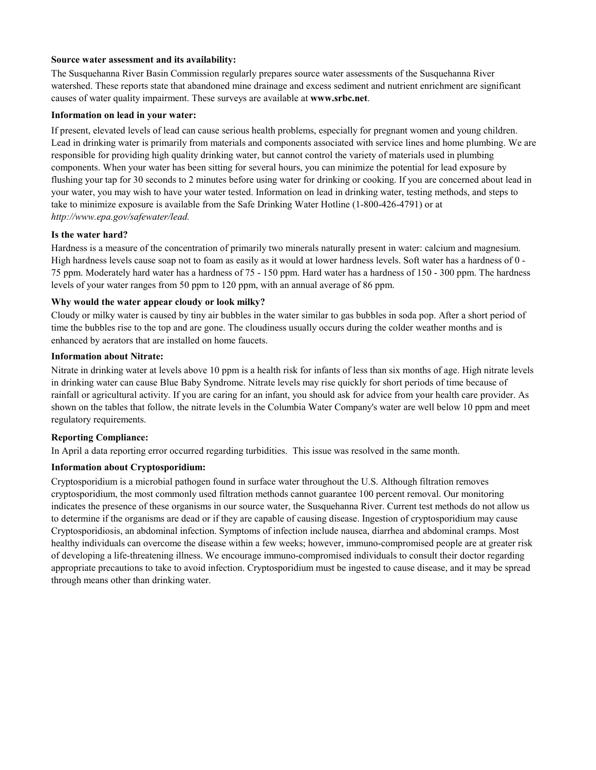# **Source water assessment and its availability:**

The Susquehanna River Basin Commission regularly prepares source water assessments of the Susquehanna River watershed. These reports state that abandoned mine drainage and excess sediment and nutrient enrichment are significant causes of water quality impairment. These surveys are available at **www.srbc.net**.

#### **Information on lead in your water:**

If present, elevated levels of lead can cause serious health problems, especially for pregnant women and young children. Lead in drinking water is primarily from materials and components associated with service lines and home plumbing. We are responsible for providing high quality drinking water, but cannot control the variety of materials used in plumbing components. When your water has been sitting for several hours, you can minimize the potential for lead exposure by flushing your tap for 30 seconds to 2 minutes before using water for drinking or cooking. If you are concerned about lead in your water, you may wish to have your water tested. Information on lead in drinking water, testing methods, and steps to take to minimize exposure is available from the Safe Drinking Water Hotline (1-800-426-4791) or at *http://www.epa.gov/safewater/lead.* 

#### **Is the water hard?**

Hardness is a measure of the concentration of primarily two minerals naturally present in water: calcium and magnesium. High hardness levels cause soap not to foam as easily as it would at lower hardness levels. Soft water has a hardness of 0 - 75 ppm. Moderately hard water has a hardness of 75 - 150 ppm. Hard water has a hardness of 150 - 300 ppm. The hardness levels of your water ranges from 50 ppm to 120 ppm, with an annual average of 86 ppm.

# **Why would the water appear cloudy or look milky?**

Cloudy or milky water is caused by tiny air bubbles in the water similar to gas bubbles in soda pop. After a short period of time the bubbles rise to the top and are gone. The cloudiness usually occurs during the colder weather months and is enhanced by aerators that are installed on home faucets.

# **Information about Nitrate:**

Nitrate in drinking water at levels above 10 ppm is a health risk for infants of less than six months of age. High nitrate levels in drinking water can cause Blue Baby Syndrome. Nitrate levels may rise quickly for short periods of time because of rainfall or agricultural activity. If you are caring for an infant, you should ask for advice from your health care provider. As shown on the tables that follow, the nitrate levels in the Columbia Water Company's water are well below 10 ppm and meet regulatory requirements.

# **Reporting Compliance:**

In April a data reporting error occurred regarding turbidities. This issue was resolved in the same month.

# **Information about Cryptosporidium:**

Cryptosporidium is a microbial pathogen found in surface water throughout the U.S. Although filtration removes cryptosporidium, the most commonly used filtration methods cannot guarantee 100 percent removal. Our monitoring indicates the presence of these organisms in our source water, the Susquehanna River. Current test methods do not allow us to determine if the organisms are dead or if they are capable of causing disease. Ingestion of cryptosporidium may cause Cryptosporidiosis, an abdominal infection. Symptoms of infection include nausea, diarrhea and abdominal cramps. Most healthy individuals can overcome the disease within a few weeks; however, immuno-compromised people are at greater risk of developing a life-threatening illness. We encourage immuno-compromised individuals to consult their doctor regarding appropriate precautions to take to avoid infection. Cryptosporidium must be ingested to cause disease, and it may be spread through means other than drinking water.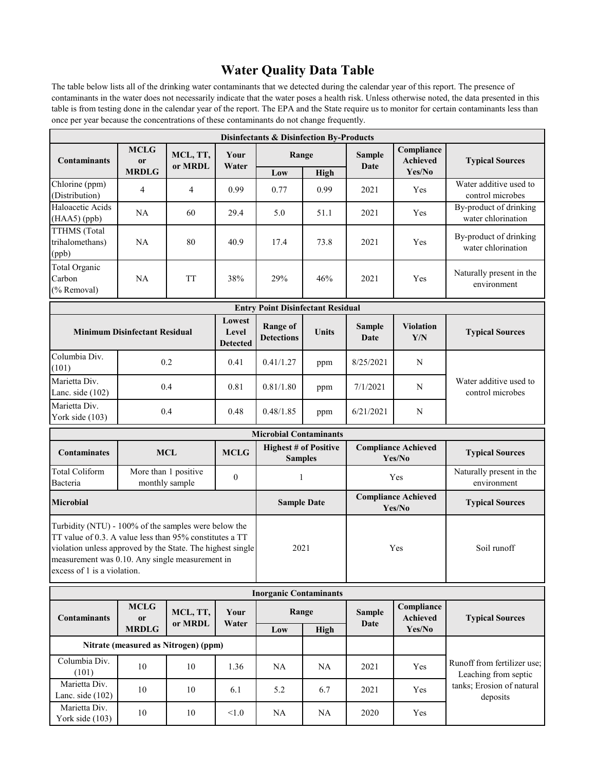# **Water Quality Data Table**

The table below lists all of the drinking water contaminants that we detected during the calendar year of this report. The presence of contaminants in the water does not necessarily indicate that the water poses a health risk. Unless otherwise noted, the data presented in this table is from testing done in the calendar year of the report. The EPA and the State require us to monitor for certain contaminants less than once per year because the concentrations of these contaminants do not change frequently.

| <b>Disinfectants &amp; Disinfection By-Products</b>                                                                                                                                                                                                             |                                                            |                     |                                      |                                                |                        |                                      |                                         |                                                               |  |
|-----------------------------------------------------------------------------------------------------------------------------------------------------------------------------------------------------------------------------------------------------------------|------------------------------------------------------------|---------------------|--------------------------------------|------------------------------------------------|------------------------|--------------------------------------|-----------------------------------------|---------------------------------------------------------------|--|
| <b>Contaminants</b>                                                                                                                                                                                                                                             | <b>MCLG</b><br><sub>or</sub><br><b>MRDLG</b>               | MCL, TT,<br>or MRDL | Your<br>Water                        | Range<br>Low                                   | High                   | <b>Sample</b><br>Date                | Compliance<br><b>Achieved</b><br>Yes/No | <b>Typical Sources</b>                                        |  |
| Chlorine (ppm)<br>(Distribution)                                                                                                                                                                                                                                | 4                                                          | 4                   | 0.99                                 | 0.77                                           | 0.99                   | 2021                                 | Yes                                     | Water additive used to<br>control microbes                    |  |
| Haloacetic Acids<br>(HAA5) (ppb)                                                                                                                                                                                                                                | <b>NA</b>                                                  | 60                  | 29.4                                 | 5.0                                            | 51.1                   | 2021                                 | Yes                                     | By-product of drinking<br>water chlorination                  |  |
| TTHMS (Total<br>trihalomethans)<br>(ppb)                                                                                                                                                                                                                        | <b>NA</b>                                                  | 80                  | 40.9                                 | 17.4                                           | 73.8                   | 2021                                 | Yes                                     | By-product of drinking<br>water chlorination                  |  |
| Total Organic<br>Carbon<br>(% Removal)                                                                                                                                                                                                                          | <b>NA</b>                                                  | <b>TT</b>           | 38%                                  | 29%                                            | 46%                    | 2021                                 | Yes                                     | Naturally present in the<br>environment                       |  |
|                                                                                                                                                                                                                                                                 |                                                            |                     |                                      | <b>Entry Point Disinfectant Residual</b>       |                        |                                      |                                         |                                                               |  |
|                                                                                                                                                                                                                                                                 | <b>Minimum Disinfectant Residual</b>                       |                     |                                      | <b>Range of</b><br><b>Detections</b>           | Units                  | <b>Sample</b><br>Date                | <b>Violation</b><br>Y/N                 | <b>Typical Sources</b>                                        |  |
| Columbia Div.<br>(101)                                                                                                                                                                                                                                          |                                                            | 0.2                 | 0.41                                 | 0.41/1.27                                      | ppm                    | 8/25/2021                            | N                                       | Water additive used to<br>control microbes                    |  |
| Marietta Div.<br>Lanc. side $(102)$                                                                                                                                                                                                                             |                                                            | 0.4                 | 0.81                                 | 0.81/1.80                                      | ppm                    | 7/1/2021                             | N                                       |                                                               |  |
| Marietta Div.<br>York side (103)                                                                                                                                                                                                                                | 0.4                                                        |                     | 0.48                                 | 0.48/1.85                                      | ppm                    | 6/21/2021                            | N                                       |                                                               |  |
|                                                                                                                                                                                                                                                                 |                                                            |                     |                                      | <b>Microbial Contaminants</b>                  |                        |                                      |                                         |                                                               |  |
| <b>Contaminates</b>                                                                                                                                                                                                                                             | <b>MCLG</b><br><b>MCL</b>                                  |                     |                                      | <b>Highest # of Positive</b><br><b>Samples</b> |                        | <b>Compliance Achieved</b><br>Yes/No |                                         | <b>Typical Sources</b>                                        |  |
| <b>Total Coliform</b><br>Bacteria                                                                                                                                                                                                                               | More than 1 positive<br>$\boldsymbol{0}$<br>monthly sample |                     |                                      | $\mathbf{1}$                                   |                        | Yes                                  |                                         | Naturally present in the<br>environment                       |  |
| <b>Microbial</b>                                                                                                                                                                                                                                                | <b>Sample Date</b>                                         |                     | <b>Compliance Achieved</b><br>Yes/No |                                                | <b>Typical Sources</b> |                                      |                                         |                                                               |  |
| Turbidity (NTU) - 100% of the samples were below the<br>TT value of 0.3. A value less than 95% constitutes a TT<br>violation unless approved by the State. The highest single<br>measurement was 0.10. Any single measurement in<br>excess of 1 is a violation. | 2021                                                       |                     | Yes                                  |                                                | Soil runoff            |                                      |                                         |                                                               |  |
| <b>Inorganic Contaminants</b>                                                                                                                                                                                                                                   |                                                            |                     |                                      |                                                |                        |                                      |                                         |                                                               |  |
| <b>Contaminants</b>                                                                                                                                                                                                                                             | <b>MCLG</b><br><b>or</b>                                   | MCL, TT,<br>or MRDL | Your<br>Water                        | Range                                          |                        | <b>Sample</b><br>Date                | Compliance<br>Achieved                  | <b>Typical Sources</b>                                        |  |
| <b>MRDLG</b><br>Nitrate (measured as Nitrogen) (ppm)                                                                                                                                                                                                            |                                                            |                     |                                      | Low                                            | High                   |                                      | Yes/No                                  |                                                               |  |
| Columbia Div.                                                                                                                                                                                                                                                   |                                                            |                     |                                      |                                                |                        |                                      |                                         | Runoff from fertilizer use;                                   |  |
| (101)<br>Marietta Div.                                                                                                                                                                                                                                          | 10                                                         | 10                  | 1.36                                 | <b>NA</b>                                      | <b>NA</b>              | 2021                                 | Yes                                     | Leaching from septic<br>tanks; Erosion of natural<br>deposits |  |
| Lanc. side $(102)$                                                                                                                                                                                                                                              | 10                                                         | 10                  | 6.1                                  | 5.2                                            | 6.7                    | 2021                                 | Yes                                     |                                                               |  |
| Marietta Div.<br>York side (103)                                                                                                                                                                                                                                | 10                                                         | 10                  | < 1.0                                | <b>NA</b>                                      | <b>NA</b>              | 2020                                 | Yes                                     |                                                               |  |